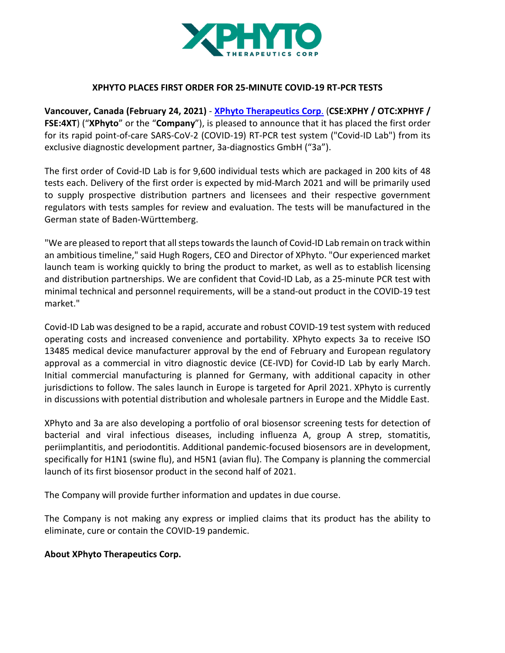

## **XPHYTO PLACES FIRST ORDER FOR 25-MINUTE COVID-19 RT-PCR TESTS**

**Vancouver, Canada (February 24, 2021)** - **XPhyto Therapeutics Corp**. (**CSE:XPHY / OTC:XPHYF / FSE:4XT**) ("**XPhyto**" or the "**Company**"), is pleased to announce that it has placed the first order for its rapid point-of-care SARS-CoV-2 (COVID-19) RT-PCR test system ("Covid-ID Lab") from its exclusive diagnostic development partner, 3a-diagnostics GmbH ("3a").

The first order of Covid-ID Lab is for 9,600 individual tests which are packaged in 200 kits of 48 tests each. Delivery of the first order is expected by mid-March 2021 and will be primarily used to supply prospective distribution partners and licensees and their respective government regulators with tests samples for review and evaluation. The tests will be manufactured in the German state of Baden-Württemberg.

"We are pleased to report that all steps towards the launch of Covid-ID Lab remain on track within an ambitious timeline," said Hugh Rogers, CEO and Director of XPhyto. "Our experienced market launch team is working quickly to bring the product to market, as well as to establish licensing and distribution partnerships. We are confident that Covid-ID Lab, as a 25-minute PCR test with minimal technical and personnel requirements, will be a stand-out product in the COVID-19 test market."

Covid-ID Lab was designed to be a rapid, accurate and robust COVID-19 test system with reduced operating costs and increased convenience and portability. XPhyto expects 3a to receive ISO 13485 medical device manufacturer approval by the end of February and European regulatory approval as a commercial in vitro diagnostic device (CE-IVD) for Covid-ID Lab by early March. Initial commercial manufacturing is planned for Germany, with additional capacity in other jurisdictions to follow. The sales launch in Europe is targeted for April 2021. XPhyto is currently in discussions with potential distribution and wholesale partners in Europe and the Middle East.

XPhyto and 3a are also developing a portfolio of oral biosensor screening tests for detection of bacterial and viral infectious diseases, including influenza A, group A strep, stomatitis, periimplantitis, and periodontitis. Additional pandemic-focused biosensors are in development, specifically for H1N1 (swine flu), and H5N1 (avian flu). The Company is planning the commercial launch of its first biosensor product in the second half of 2021.

The Company will provide further information and updates in due course.

The Company is not making any express or implied claims that its product has the ability to eliminate, cure or contain the COVID-19 pandemic.

#### **About XPhyto Therapeutics Corp.**